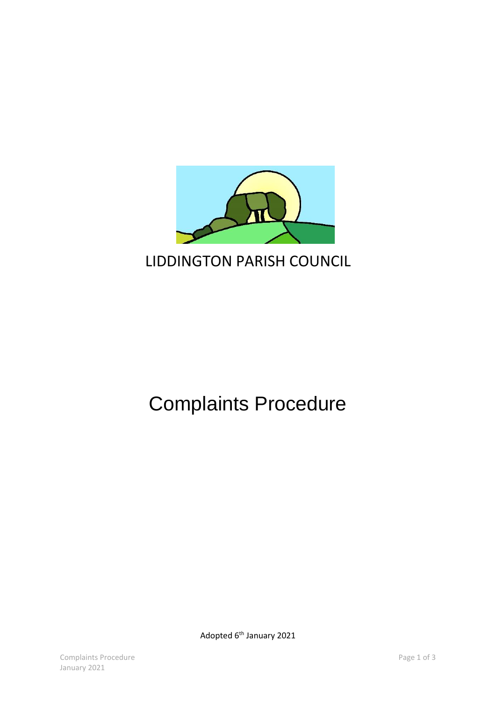

## Complaints Procedure

Adopted 6<sup>th</sup> January 2021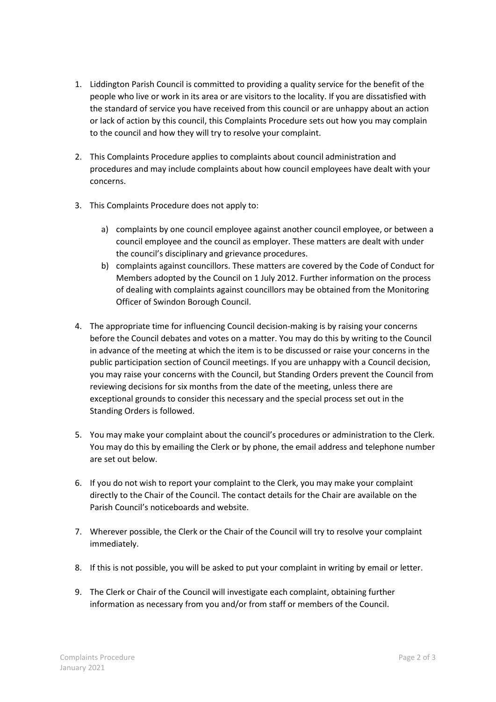- 1. Liddington Parish Council is committed to providing a quality service for the benefit of the people who live or work in its area or are visitors to the locality. If you are dissatisfied with the standard of service you have received from this council or are unhappy about an action or lack of action by this council, this Complaints Procedure sets out how you may complain to the council and how they will try to resolve your complaint.
- 2. This Complaints Procedure applies to complaints about council administration and procedures and may include complaints about how council employees have dealt with your concerns.
- 3. This Complaints Procedure does not apply to:
	- a) complaints by one council employee against another council employee, or between a council employee and the council as employer. These matters are dealt with under the council's disciplinary and grievance procedures.
	- b) complaints against councillors. These matters are covered by the Code of Conduct for Members adopted by the Council on 1 July 2012. Further information on the process of dealing with complaints against councillors may be obtained from the Monitoring Officer of Swindon Borough Council.
- 4. The appropriate time for influencing Council decision-making is by raising your concerns before the Council debates and votes on a matter. You may do this by writing to the Council in advance of the meeting at which the item is to be discussed or raise your concerns in the public participation section of Council meetings. If you are unhappy with a Council decision, you may raise your concerns with the Council, but Standing Orders prevent the Council from reviewing decisions for six months from the date of the meeting, unless there are exceptional grounds to consider this necessary and the special process set out in the Standing Orders is followed.
- 5. You may make your complaint about the council's procedures or administration to the Clerk. You may do this by emailing the Clerk or by phone, the email address and telephone number are set out below.
- 6. If you do not wish to report your complaint to the Clerk, you may make your complaint directly to the Chair of the Council. The contact details for the Chair are available on the Parish Council's noticeboards and website.
- 7. Wherever possible, the Clerk or the Chair of the Council will try to resolve your complaint immediately.
- 8. If this is not possible, you will be asked to put your complaint in writing by email or letter.
- 9. The Clerk or Chair of the Council will investigate each complaint, obtaining further information as necessary from you and/or from staff or members of the Council.